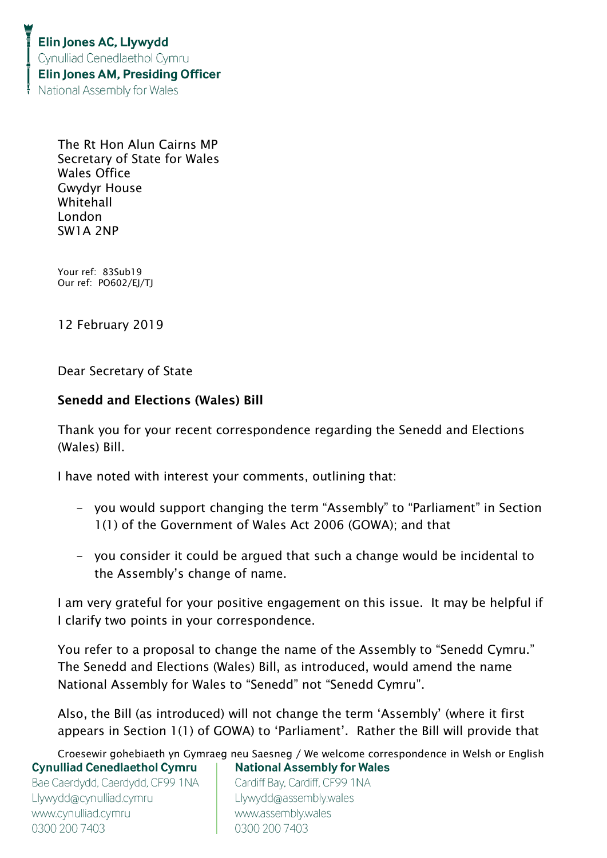The Rt Hon Alun Cairns MP Secretary of State for Wales Wales Office Gwydyr House Whitehall London SW1A 2NP

Your ref: 83Sub19 Our ref: PO602/EJ/TJ

12 February 2019

Dear Secretary of State

## Senedd and Elections (Wales) Bill

Thank you for your recent correspondence regarding the Senedd and Elections (Wales) Bill.

I have noted with interest your comments, outlining that:

- you would support changing the term "Assembly" to "Parliament" in Section 1(1) of the Government of Wales Act 2006 (GOWA); and that
- you consider it could be argued that such a change would be incidental to the Assembly's change of name.

I am very grateful for your positive engagement on this issue. It may be helpful if I clarify two points in your correspondence.

You refer to a proposal to change the name of the Assembly to "Senedd Cymru." The Senedd and Elections (Wales) Bill, as introduced, would amend the name National Assembly for Wales to "Senedd" not "Senedd Cymru".

Also, the Bill (as introduced) will not change the term 'Assembly' (where it first appears in Section 1(1) of GOWA) to 'Parliament'. Rather the Bill will provide that

Croesewir gohebiaeth yn Gymraeg neu Saesneg / We welcome correspondence in Welsh or English **Cynulliad Cenedlaethol Cymru National Assembly for Wales** 

Bae Caerdydd, Caerdydd, CF99 1NA Llywydd@cynulliad.cymru www.cynulliad.cymru 0300 200 7403

Cardiff Bay, Cardiff, CF99 1NA Llywydd@assembly.wales www.assembly.wales 0300 200 7403